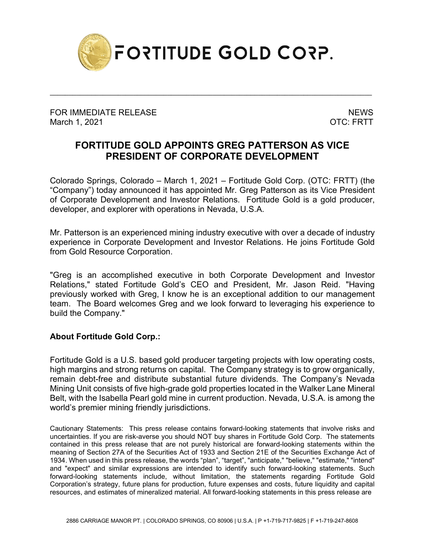

\_\_\_\_\_\_\_\_\_\_\_\_\_\_\_\_\_\_\_\_\_\_\_\_\_\_\_\_\_\_\_\_\_\_\_\_\_\_\_\_\_\_\_\_\_\_\_\_\_\_\_\_\_\_\_\_\_\_\_\_\_\_\_\_\_\_\_\_\_\_\_\_\_\_\_\_\_\_\_\_\_\_\_\_\_

FOR IMMEDIATE RELEASE NEWS AND THE MEMORY OF THE SERIES OF THE SERIES OF THE SERIES OF THE SERIES OF THE SERIES OF THE SERIES OF THE SERIES OF THE SERIES OF THE SERIES OF THE SERIES OF THE SERIES OF THE SERIES OF THE SERIE March 1, 2021 **OTC: FRTT** 

## **FORTITUDE GOLD APPOINTS GREG PATTERSON AS VICE PRESIDENT OF CORPORATE DEVELOPMENT**

Colorado Springs, Colorado – March 1, 2021 – Fortitude Gold Corp. (OTC: FRTT) (the "Company") today announced it has appointed Mr. Greg Patterson as its Vice President of Corporate Development and Investor Relations. Fortitude Gold is a gold producer, developer, and explorer with operations in Nevada, U.S.A.

Mr. Patterson is an experienced mining industry executive with over a decade of industry experience in Corporate Development and Investor Relations. He joins Fortitude Gold from Gold Resource Corporation.

"Greg is an accomplished executive in both Corporate Development and Investor Relations," stated Fortitude Gold's CEO and President, Mr. Jason Reid. "Having previously worked with Greg, I know he is an exceptional addition to our management team. The Board welcomes Greg and we look forward to leveraging his experience to build the Company."

## **About Fortitude Gold Corp.:**

Fortitude Gold is a U.S. based gold producer targeting projects with low operating costs, high margins and strong returns on capital. The Company strategy is to grow organically, remain debt-free and distribute substantial future dividends. The Company's Nevada Mining Unit consists of five high-grade gold properties located in the Walker Lane Mineral Belt, with the Isabella Pearl gold mine in current production. Nevada, U.S.A. is among the world's premier mining friendly jurisdictions.

Cautionary Statements: This press release contains forward-looking statements that involve risks and uncertainties. If you are risk-averse you should NOT buy shares in Fortitude Gold Corp. The statements contained in this press release that are not purely historical are forward-looking statements within the meaning of Section 27A of the Securities Act of 1933 and Section 21E of the Securities Exchange Act of 1934. When used in this press release, the words "plan", "target", "anticipate," "believe," "estimate," "intend" and "expect" and similar expressions are intended to identify such forward-looking statements. Such forward-looking statements include, without limitation, the statements regarding Fortitude Gold Corporation's strategy, future plans for production, future expenses and costs, future liquidity and capital resources, and estimates of mineralized material. All forward-looking statements in this press release are